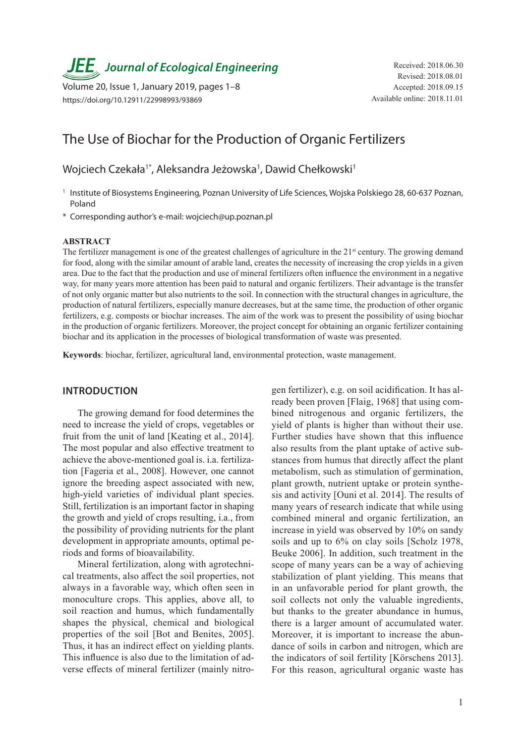# *JEE<sub></sub>*, Journal of Ecological Engineering Received: 2018.06.30

Volume 20, Issue 1, January 2019, pages 1–8 https://doi.org/10.12911/22998993/93869

# The Use of Biochar for the Production of Organic Fertilizers

# Wojciech Czekała<sup>1\*</sup>, Aleksandra Jeżowska<sup>1</sup>, Dawid Chełkowski<sup>1</sup>

- <sup>1</sup> Institute of Biosystems Engineering, Poznan University of Life Sciences, Wojska Polskiego 28, 60-637 Poznan, Poland
- \* Corresponding author's e-mail: wojciech@up.poznan.pl

#### **ABSTRACT**

The fertilizer management is one of the greatest challenges of agriculture in the  $21^{st}$  century. The growing demand for food, along with the similar amount of arable land, creates the necessity of increasing the crop yields in a given area. Due to the fact that the production and use of mineral fertilizers often influence the environment in a negative way, for many years more attention has been paid to natural and organic fertilizers. Their advantage is the transfer of not only organic matter but also nutrients to the soil. In connection with the structural changes in agriculture, the production of natural fertilizers, especially manure decreases, but at the same time, the production of other organic fertilizers, e.g. composts or biochar increases. The aim of the work was to present the possibility of using biochar in the production of organic fertilizers. Moreover, the project concept for obtaining an organic fertilizer containing biochar and its application in the processes of biological transformation of waste was presented.

**Keywords**: biochar, fertilizer, agricultural land, environmental protection, waste management.

#### **INTRODUCTION**

The growing demand for food determines the need to increase the yield of crops, vegetables or fruit from the unit of land [Keating et al., 2014]. The most popular and also effective treatment to achieve the above-mentioned goal is. i.a. fertilization [Fageria et al., 2008]. However, one cannot ignore the breeding aspect associated with new, high-yield varieties of individual plant species. Still, fertilization is an important factor in shaping the growth and yield of crops resulting, i.a., from the possibility of providing nutrients for the plant development in appropriate amounts, optimal periods and forms of bioavailability.

Mineral fertilization, along with agrotechnical treatments, also affect the soil properties, not always in a favorable way, which often seen in monoculture crops. This applies, above all, to soil reaction and humus, which fundamentally shapes the physical, chemical and biological properties of the soil [Bot and Benites, 2005]. Thus, it has an indirect effect on yielding plants. This influence is also due to the limitation of adverse effects of mineral fertilizer (mainly nitrogen fertilizer), e.g. on soil acidification. It has already been proven [Flaig, 1968] that using combined nitrogenous and organic fertilizers, the yield of plants is higher than without their use. Further studies have shown that this influence also results from the plant uptake of active substances from humus that directly affect the plant metabolism, such as stimulation of germination, plant growth, nutrient uptake or protein synthesis and activity [Ouni et al. 2014]. The results of many years of research indicate that while using combined mineral and organic fertilization, an increase in yield was observed by 10% on sandy soils and up to 6% on clay soils [Scholz 1978, Beuke 2006]. In addition, such treatment in the scope of many years can be a way of achieving stabilization of plant yielding. This means that in an unfavorable period for plant growth, the soil collects not only the valuable ingredients, but thanks to the greater abundance in humus, there is a larger amount of accumulated water. Moreover, it is important to increase the abundance of soils in carbon and nitrogen, which are the indicators of soil fertility [Körschens 2013]. For this reason, agricultural organic waste has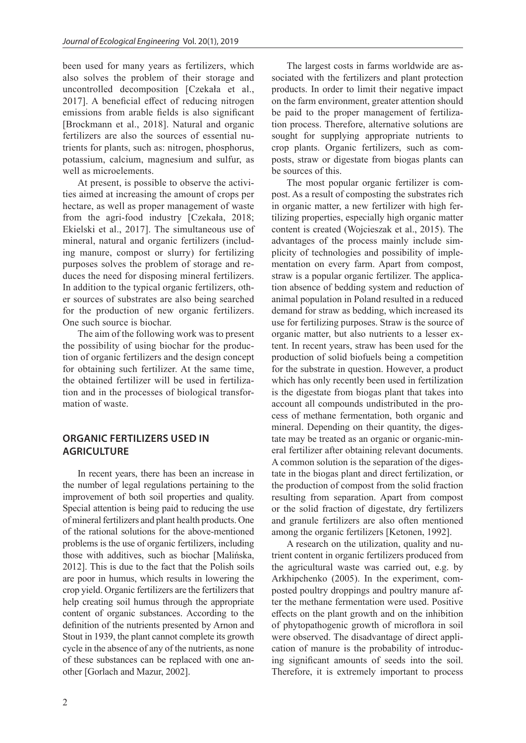been used for many years as fertilizers, which also solves the problem of their storage and uncontrolled decomposition [Czekała et al., 2017]. A beneficial effect of reducing nitrogen emissions from arable fields is also significant [Brockmann et al., 2018]. Natural and organic fertilizers are also the sources of essential nutrients for plants, such as: nitrogen, phosphorus, potassium, calcium, magnesium and sulfur, as well as microelements.

At present, is possible to observe the activities aimed at increasing the amount of crops per hectare, as well as proper management of waste from the agri-food industry [Czekała, 2018; Ekielski et al., 2017]. The simultaneous use of mineral, natural and organic fertilizers (including manure, compost or slurry) for fertilizing purposes solves the problem of storage and reduces the need for disposing mineral fertilizers. In addition to the typical organic fertilizers, other sources of substrates are also being searched for the production of new organic fertilizers. One such source is biochar.

The aim of the following work was to present the possibility of using biochar for the production of organic fertilizers and the design concept for obtaining such fertilizer. At the same time, the obtained fertilizer will be used in fertilization and in the processes of biological transformation of waste.

# **ORGANIC FERTILIZERS USED IN AGRICULTURE**

In recent years, there has been an increase in the number of legal regulations pertaining to the improvement of both soil properties and quality. Special attention is being paid to reducing the use of mineral fertilizers and plant health products. One of the rational solutions for the above-mentioned problems is the use of organic fertilizers, including those with additives, such as biochar [Malińska, 2012]. This is due to the fact that the Polish soils are poor in humus, which results in lowering the crop yield. Organic fertilizers are the fertilizers that help creating soil humus through the appropriate content of organic substances. According to the definition of the nutrients presented by Arnon and Stout in 1939, the plant cannot complete its growth cycle in the absence of any of the nutrients, as none of these substances can be replaced with one another [Gorlach and Mazur, 2002].

The largest costs in farms worldwide are associated with the fertilizers and plant protection products. In order to limit their negative impact on the farm environment, greater attention should be paid to the proper management of fertilization process. Therefore, alternative solutions are sought for supplying appropriate nutrients to crop plants. Organic fertilizers, such as composts, straw or digestate from biogas plants can be sources of this.

The most popular organic fertilizer is compost. As a result of composting the substrates rich in organic matter, a new fertilizer with high fertilizing properties, especially high organic matter content is created (Wojcieszak et al., 2015). The advantages of the process mainly include simplicity of technologies and possibility of implementation on every farm. Apart from compost, straw is a popular organic fertilizer. The application absence of bedding system and reduction of animal population in Poland resulted in a reduced demand for straw as bedding, which increased its use for fertilizing purposes. Straw is the source of organic matter, but also nutrients to a lesser extent. In recent years, straw has been used for the production of solid biofuels being a competition for the substrate in question. However, a product which has only recently been used in fertilization is the digestate from biogas plant that takes into account all compounds undistributed in the process of methane fermentation, both organic and mineral. Depending on their quantity, the digestate may be treated as an organic or organic-mineral fertilizer after obtaining relevant documents. A common solution is the separation of the digestate in the biogas plant and direct fertilization, or the production of compost from the solid fraction resulting from separation. Apart from compost or the solid fraction of digestate, dry fertilizers and granule fertilizers are also often mentioned among the organic fertilizers [Ketonen, 1992].

A research on the utilization, quality and nutrient content in organic fertilizers produced from the agricultural waste was carried out, e.g. by Arkhipchenko (2005). In the experiment, composted poultry droppings and poultry manure after the methane fermentation were used. Positive effects on the plant growth and on the inhibition of phytopathogenic growth of microflora in soil were observed. The disadvantage of direct application of manure is the probability of introducing significant amounts of seeds into the soil. Therefore, it is extremely important to process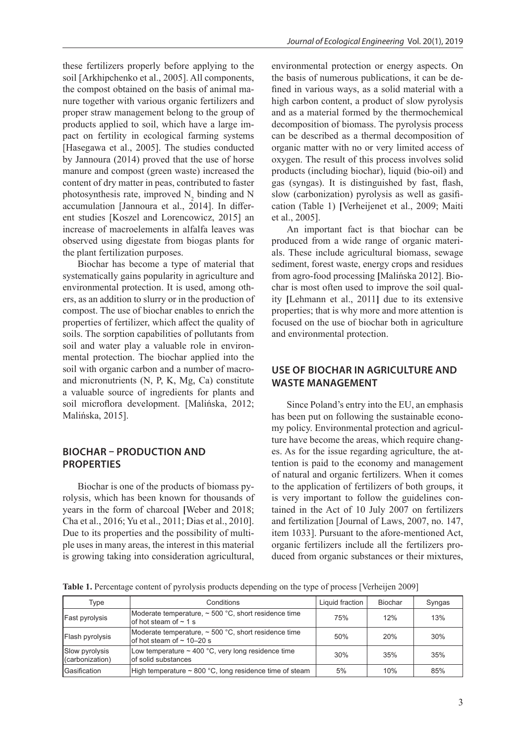these fertilizers properly before applying to the soil [Arkhipchenko et al., 2005]. All components, the compost obtained on the basis of animal manure together with various organic fertilizers and proper straw management belong to the group of products applied to soil, which have a large impact on fertility in ecological farming systems [Hasegawa et al., 2005]. The studies conducted by Jannoura (2014) proved that the use of horse manure and compost (green waste) increased the content of dry matter in peas, contributed to faster photosynthesis rate, improved  $N_2$  binding and N accumulation [Jannoura et al., 2014]. In different studies [Koszel and Lorencowicz, 2015] an increase of macroelements in alfalfa leaves was observed using digestate from biogas plants for the plant fertilization purposes.

Biochar has become a type of material that systematically gains popularity in agriculture and environmental protection. It is used, among others, as an addition to slurry or in the production of compost. The use of biochar enables to enrich the properties of fertilizer, which affect the quality of soils. The sorption capabilities of pollutants from soil and water play a valuable role in environmental protection. The biochar applied into the soil with organic carbon and a number of macroand micronutrients (N, P, K, Mg, Ca) constitute a valuable source of ingredients for plants and soil microflora development. [Malińska, 2012; Malińska, 2015].

# **BIOCHAR – PRODUCTION AND PROPERTIES**

Biochar is one of the products of biomass pyrolysis, which has been known for thousands of years in the form of charcoal **[**Weber and 2018; Cha et al., 2016; Yu et al., 2011; Dias et al., 2010]. Due to its properties and the possibility of multiple uses in many areas, the interest in this material is growing taking into consideration agricultural,

environmental protection or energy aspects. On the basis of numerous publications, it can be defined in various ways, as a solid material with a high carbon content, a product of slow pyrolysis and as a material formed by the thermochemical decomposition of biomass. The pyrolysis process can be described as a thermal decomposition of organic matter with no or very limited access of oxygen. The result of this process involves solid products (including biochar), liquid (bio-oil) and gas (syngas). It is distinguished by fast, flash, slow (carbonization) pyrolysis as well as gasification (Table 1) **[**Verheijenet et al., 2009; Maiti et al., 2005].

An important fact is that biochar can be produced from a wide range of organic materials. These include agricultural biomass, sewage sediment, forest waste, energy crops and residues from agro-food processing **[**Malińska 2012]. Biochar is most often used to improve the soil quality **[**Lehmann et al., 2011**]** due to its extensive properties; that is why more and more attention is focused on the use of biochar both in agriculture and environmental protection.

## **USE OF BIOCHAR IN AGRICULTURE AND WASTE MANAGEMENT**

Since Poland's entry into the EU, an emphasis has been put on following the sustainable economy policy. Environmental protection and agriculture have become the areas, which require changes. As for the issue regarding agriculture, the attention is paid to the economy and management of natural and organic fertilizers. When it comes to the application of fertilizers of both groups, it is very important to follow the guidelines contained in the Act of 10 July 2007 on fertilizers and fertilization [Journal of Laws, 2007, no. 147, item 1033]. Pursuant to the afore-mentioned Act, organic fertilizers include all the fertilizers produced from organic substances or their mixtures,

**Table 1.** Percentage content of pyrolysis products depending on the type of process [Verheijen 2009]

| Type                              | Conditions                                                                                  | Liquid fraction | <b>Biochar</b> | Syngas |
|-----------------------------------|---------------------------------------------------------------------------------------------|-----------------|----------------|--------|
| <b>Fast pyrolysis</b>             | Moderate temperature, $\sim$ 500 °C, short residence time<br>lof hot steam of $\sim$ 1 s    | 75%             | 12%            | 13%    |
| Flash pyrolysis                   | Moderate temperature, $\sim$ 500 °C, short residence time<br>of hot steam of $\sim$ 10–20 s | 50%             | 20%            | 30%    |
| Slow pyrolysis<br>(carbonization) | Low temperature $\sim$ 400 °C, very long residence time<br>of solid substances              | 30%             | 35%            | 35%    |
| lGasification                     | High temperature $\sim$ 800 °C, long residence time of steam                                | 5%              | 10%            | 85%    |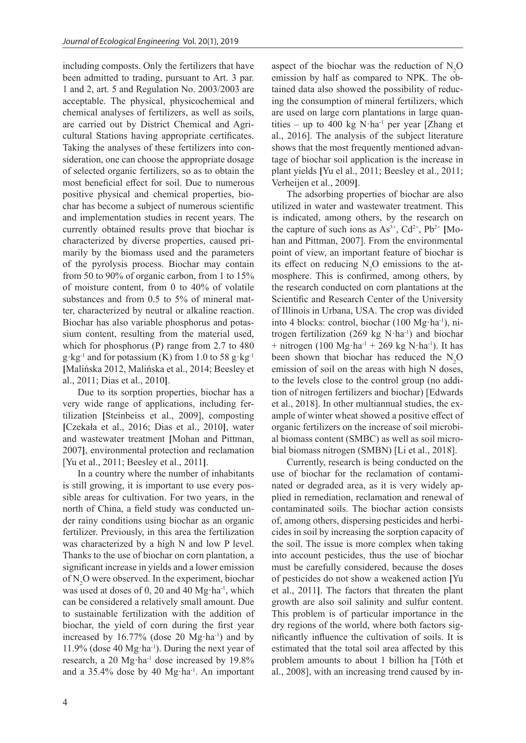including composts. Only the fertilizers that have been admitted to trading, pursuant to Art. 3 par. 1 and 2, art. 5 and Regulation No. 2003/2003 are acceptable. The physical, physicochemical and chemical analyses of fertilizers, as well as soils, are carried out by District Chemical and Agricultural Stations having appropriate certificates. Taking the analyses of these fertilizers into consideration, one can choose the appropriate dosage of selected organic fertilizers, so as to obtain the most beneficial effect for soil. Due to numerous positive physical and chemical properties, biochar has become a subject of numerous scientific and implementation studies in recent years. The currently obtained results prove that biochar is characterized by diverse properties, caused primarily by the biomass used and the parameters of the pyrolysis process. Biochar may contain from 50 to 90% of organic carbon, from 1 to 15% of moisture content, from 0 to 40% of volatile substances and from 0.5 to 5% of mineral matter, characterized by neutral or alkaline reaction. Biochar has also variable phosphorus and potassium content, resulting from the material used, which for phosphorus (P) range from 2.7 to 480  $g \cdot kg^{-1}$  and for potassium (K) from 1.0 to 58  $g \cdot kg^{-1}$ **[**Malińska 2012, Malińska et al., 2014; Beesley et al., 2011; Dias et al., 2010**]**.

Due to its sorption properties, biochar has a very wide range of applications, including fertilization **[**Steinbeiss et al., 2009], composting **[**Czekała et al., 2016; Dias et al., 2010**]**, water and wastewater treatment **[**Mohan and Pittman, 2007**]**, environmental protection and reclamation [Yu et al., 2011; Beesley et al., 2011**]**.

In a country where the number of inhabitants is still growing, it is important to use every possible areas for cultivation. For two years, in the north of China, a field study was conducted under rainy conditions using biochar as an organic fertilizer. Previously, in this area the fertilization was characterized by a high N and low P level. Thanks to the use of biochar on corn plantation, a significant increase in yields and a lower emission of  $N_2$ O were observed. In the experiment, biochar was used at doses of 0, 20 and 40 Mg·ha<sup>-1</sup>, which can be considered a relatively small amount. Due to sustainable fertilization with the addition of biochar, the yield of corn during the first year increased by  $16.77\%$  (dose 20 Mg·ha<sup>-1</sup>) and by 11.9% (dose 40  $Mg \cdot ha^{-1}$ ). During the next year of research, a 20 Mg·ha<sup>-1</sup> dose increased by 19.8% and a 35.4% dose by 40 Mg·ha-1. An important

aspect of the biochar was the reduction of  $N_2O$ emission by half as compared to NPK. The obtained data also showed the possibility of reducing the consumption of mineral fertilizers, which are used on large corn plantations in large quantities – up to 400 kg N·ha<sup>-1</sup> per year [Zhang et al., 2016]. The analysis of the subject literature shows that the most frequently mentioned advantage of biochar soil application is the increase in plant yields **[**Yu el al., 2011; Beesley et al., 2011; Verheijen et al., 2009**]**.

The adsorbing properties of biochar are also utilized in water and wastewater treatment. This is indicated, among others, by the research on the capture of such ions as  $As^{3+}$ ,  $Cd^{2+}$ ,  $Pb^{2+}$  [Mohan and Pittman, 2007]. From the environmental point of view, an important feature of biochar is its effect on reducing  $N_2O$  emissions to the atmosphere. This is confirmed, among others, by the research conducted on corn plantations at the Scientific and Research Center of the University of Illinois in Urbana, USA. The crop was divided into 4 blocks: control, biochar (100 Mg·ha-1), nitrogen fertilization (269 kg  $N$ ·ha<sup>-1</sup>) and biochar + nitrogen (100 Mg·ha<sup>-1</sup> + 269 kg N·ha<sup>-1</sup>). It has been shown that biochar has reduced the  $N_2O$ emission of soil on the areas with high N doses, to the levels close to the control group (no addition of nitrogen fertilizers and biochar) [Edwards et al., 2018]. In other multiannual studies, the example of winter wheat showed a positive effect of organic fertilizers on the increase of soil microbial biomass content (SMBC) as well as soil microbial biomass nitrogen (SMBN) [Li et al., 2018].

Currently, research is being conducted on the use of biochar for the reclamation of contaminated or degraded area, as it is very widely applied in remediation, reclamation and renewal of contaminated soils. The biochar action consists of, among others, dispersing pesticides and herbicides in soil by increasing the sorption capacity of the soil. The issue is more complex when taking into account pesticides, thus the use of biochar must be carefully considered, because the doses of pesticides do not show a weakened action **[**Yu et al., 2011**]**. The factors that threaten the plant growth are also soil salinity and sulfur content. This problem is of particular importance in the dry regions of the world, where both factors significantly influence the cultivation of soils. It is estimated that the total soil area affected by this problem amounts to about 1 billion ha [Tóth et al., 2008], with an increasing trend caused by in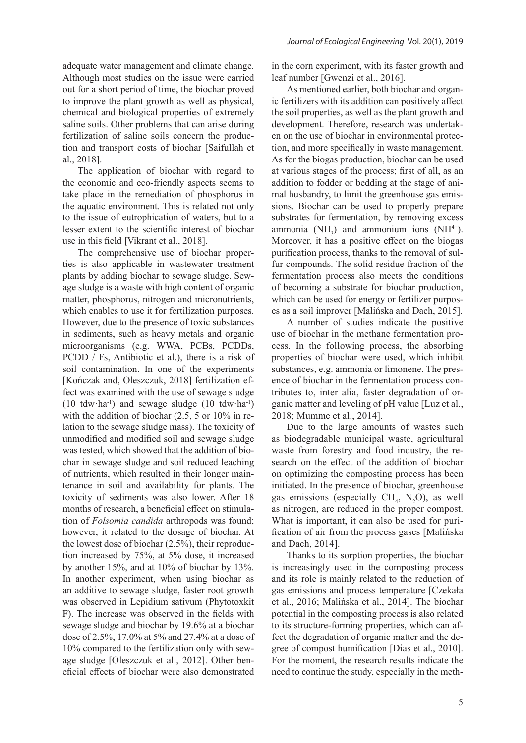adequate water management and climate change. Although most studies on the issue were carried out for a short period of time, the biochar proved to improve the plant growth as well as physical, chemical and biological properties of extremely saline soils. Other problems that can arise during fertilization of saline soils concern the production and transport costs of biochar [Saifullah et al., 2018].

The application of biochar with regard to the economic and eco-friendly aspects seems to take place in the remediation of phosphorus in the aquatic environment. This is related not only to the issue of eutrophication of waters, but to a lesser extent to the scientific interest of biochar use in this field **[**Vikrant et al., 2018].

The comprehensive use of biochar properties is also applicable in wastewater treatment plants by adding biochar to sewage sludge. Sewage sludge is a waste with high content of organic matter, phosphorus, nitrogen and micronutrients, which enables to use it for fertilization purposes. However, due to the presence of toxic substances in sediments, such as heavy metals and organic microorganisms (e.g. WWA, PCBs, PCDDs, PCDD / Fs, Antibiotic et al.), there is a risk of soil contamination. In one of the experiments [Kończak and, Oleszczuk, 2018] fertilization effect was examined with the use of sewage sludge  $(10 \text{tdw·ha}^{-1})$  and sewage sludge  $(10 \text{tdw·ha}^{-1})$ with the addition of biochar (2.5, 5 or 10% in relation to the sewage sludge mass). The toxicity of unmodified and modified soil and sewage sludge was tested, which showed that the addition of biochar in sewage sludge and soil reduced leaching of nutrients, which resulted in their longer maintenance in soil and availability for plants. The toxicity of sediments was also lower. After 18 months of research, a beneficial effect on stimulation of *Folsomia candida* arthropods was found; however, it related to the dosage of biochar. At the lowest dose of biochar (2.5%), their reproduction increased by 75%, at 5% dose, it increased by another 15%, and at 10% of biochar by 13%. In another experiment, when using biochar as an additive to sewage sludge, faster root growth was observed in Lepidium sativum (Phytotoxkit F). The increase was observed in the fields with sewage sludge and biochar by 19.6% at a biochar dose of 2.5%, 17.0% at 5% and 27.4% at a dose of 10% compared to the fertilization only with sewage sludge [Oleszczuk et al., 2012]. Other beneficial effects of biochar were also demonstrated

in the corn experiment, with its faster growth and leaf number [Gwenzi et al., 2016].

As mentioned earlier, both biochar and organic fertilizers with its addition can positively affect the soil properties, as well as the plant growth and development. Therefore, research was undertaken on the use of biochar in environmental protection, and more specifically in waste management. As for the biogas production, biochar can be used at various stages of the process; first of all, as an addition to fodder or bedding at the stage of animal husbandry, to limit the greenhouse gas emissions. Biochar can be used to properly prepare substrates for fermentation, by removing excess ammonia  $(NH_3)$  and ammonium ions  $(NH<sup>4+</sup>)$ . Moreover, it has a positive effect on the biogas purification process, thanks to the removal of sulfur compounds. The solid residue fraction of the fermentation process also meets the conditions of becoming a substrate for biochar production, which can be used for energy or fertilizer purposes as a soil improver [Malińska and Dach, 2015].

A number of studies indicate the positive use of biochar in the methane fermentation process. In the following process, the absorbing properties of biochar were used, which inhibit substances, e.g. ammonia or limonene. The presence of biochar in the fermentation process contributes to, inter alia, faster degradation of organic matter and leveling of pH value [Luz et al., 2018; Mumme et al., 2014].

Due to the large amounts of wastes such as biodegradable municipal waste, agricultural waste from forestry and food industry, the research on the effect of the addition of biochar on optimizing the composting process has been initiated. In the presence of biochar, greenhouse gas emissions (especially  $CH_4$ , N<sub>2</sub>O), as well as nitrogen, are reduced in the proper compost. What is important, it can also be used for purification of air from the process gases [Malińska and Dach, 2014].

Thanks to its sorption properties, the biochar is increasingly used in the composting process and its role is mainly related to the reduction of gas emissions and process temperature [Czekała et al., 2016; Malińska et al., 2014]. The biochar potential in the composting process is also related to its structure-forming properties, which can affect the degradation of organic matter and the degree of compost humification [Dias et al., 2010]. For the moment, the research results indicate the need to continue the study, especially in the meth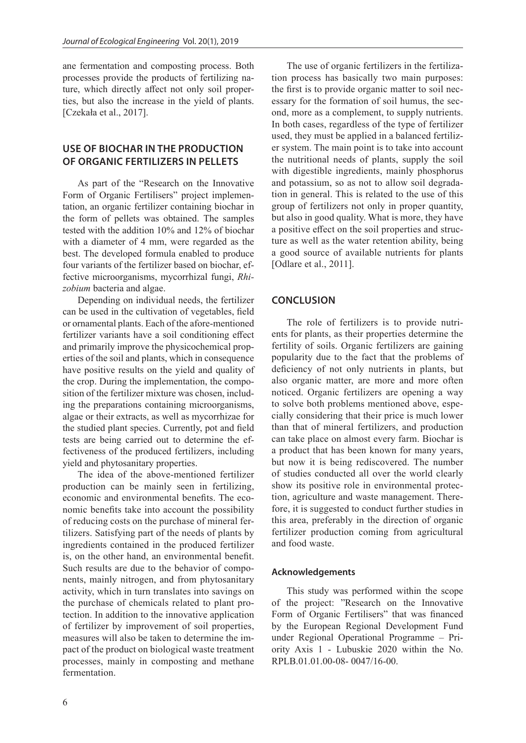ane fermentation and composting process. Both processes provide the products of fertilizing nature, which directly affect not only soil properties, but also the increase in the yield of plants. [Czekała et al., 2017].

#### **USE OF BIOCHAR IN THE PRODUCTION OF ORGANIC FERTILIZERS IN PELLETS**

As part of the "Research on the Innovative Form of Organic Fertilisers" project implementation, an organic fertilizer containing biochar in the form of pellets was obtained. The samples tested with the addition 10% and 12% of biochar with a diameter of 4 mm, were regarded as the best. The developed formula enabled to produce four variants of the fertilizer based on biochar, effective microorganisms, mycorrhizal fungi, *Rhizobium* bacteria and algae.

Depending on individual needs, the fertilizer can be used in the cultivation of vegetables, field or ornamental plants. Each of the afore-mentioned fertilizer variants have a soil conditioning effect and primarily improve the physicochemical properties of the soil and plants, which in consequence have positive results on the yield and quality of the crop. During the implementation, the composition of the fertilizer mixture was chosen, including the preparations containing microorganisms, algae or their extracts, as well as mycorrhizae for the studied plant species. Currently, pot and field tests are being carried out to determine the effectiveness of the produced fertilizers, including yield and phytosanitary properties.

The idea of the above-mentioned fertilizer production can be mainly seen in fertilizing, economic and environmental benefits. The economic benefits take into account the possibility of reducing costs on the purchase of mineral fertilizers. Satisfying part of the needs of plants by ingredients contained in the produced fertilizer is, on the other hand, an environmental benefit. Such results are due to the behavior of components, mainly nitrogen, and from phytosanitary activity, which in turn translates into savings on the purchase of chemicals related to plant protection. In addition to the innovative application of fertilizer by improvement of soil properties, measures will also be taken to determine the impact of the product on biological waste treatment processes, mainly in composting and methane fermentation.

The use of organic fertilizers in the fertilization process has basically two main purposes: the first is to provide organic matter to soil necessary for the formation of soil humus, the second, more as a complement, to supply nutrients. In both cases, regardless of the type of fertilizer used, they must be applied in a balanced fertilizer system. The main point is to take into account the nutritional needs of plants, supply the soil with digestible ingredients, mainly phosphorus and potassium, so as not to allow soil degradation in general. This is related to the use of this group of fertilizers not only in proper quantity, but also in good quality. What is more, they have a positive effect on the soil properties and structure as well as the water retention ability, being a good source of available nutrients for plants [Odlare et al., 2011].

#### **CONCLUSION**

The role of fertilizers is to provide nutrients for plants, as their properties determine the fertility of soils. Organic fertilizers are gaining popularity due to the fact that the problems of deficiency of not only nutrients in plants, but also organic matter, are more and more often noticed. Organic fertilizers are opening a way to solve both problems mentioned above, especially considering that their price is much lower than that of mineral fertilizers, and production can take place on almost every farm. Biochar is a product that has been known for many years, but now it is being rediscovered. The number of studies conducted all over the world clearly show its positive role in environmental protection, agriculture and waste management. Therefore, it is suggested to conduct further studies in this area, preferably in the direction of organic fertilizer production coming from agricultural and food waste.

#### **Acknowledgements**

This study was performed within the scope of the project: "Research on the Innovative Form of Organic Fertilisers" that was financed by the European Regional Development Fund under Regional Operational Programme – Priority Axis 1 - Lubuskie 2020 within the No. RPLB.01.01.00-08- 0047/16-00.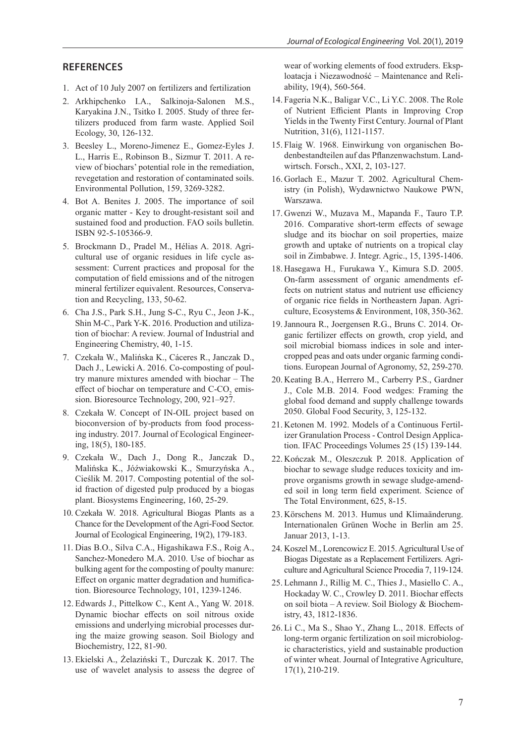#### **REFERENCES**

- 1. Act of 10 July 2007 on fertilizers and fertilization
- 2. Arkhipchenko I.A., Salkinoja-Salonen M.S., Karyakina J.N., Tsitko I. 2005. Study of three fertilizers produced from farm waste. Applied Soil Ecology, 30, 126-132.
- 3. Beesley L., Moreno-Jimenez E., Gomez-Eyles J. L., Harris E., Robinson B., Sizmur T. 2011. A review of biochars' potential role in the remediation, revegetation and restoration of contaminated soils. Environmental Pollution, 159, 3269-3282.
- 4. Bot A. Benites J. 2005. The importance of soil organic matter - Key to drought-resistant soil and sustained food and production. FAO soils bulletin. ISBN 92-5-105366-9.
- 5. Brockmann D., Pradel M., Hélias A. 2018. Agricultural use of organic residues in life cycle assessment: Current practices and proposal for the computation of field emissions and of the nitrogen mineral fertilizer equivalent. Resources, Conservation and Recycling, 133, 50-62.
- 6. Cha J.S., Park S.H., Jung S-C., Ryu C., Jeon J-K., Shin M-C., Park Y-K. 2016. Production and utilization of biochar: A review. Journal of Industrial and Engineering Chemistry, 40, 1-15.
- 7. Czekała W., Malińska K., Cáceres R., Janczak D., Dach J., Lewicki A. 2016. Co-composting of poultry manure mixtures amended with biochar – The effect of biochar on temperature and  $C$ - $CO<sub>2</sub>$  emission. Bioresource Technology, 200, 921–927.
- 8. Czekała W. Concept of IN-OIL project based on bioconversion of by-products from food processing industry. 2017. Journal of Ecological Engineering, 18(5), 180-185.
- 9. Czekała W., Dach J., Dong R., Janczak D., Malińska K., Jóźwiakowski K., Smurzyńska A., Cieślik M. 2017. Composting potential of the solid fraction of digested pulp produced by a biogas plant. Biosystems Engineering, 160, 25-29.
- 10. Czekała W. 2018. Agricultural Biogas Plants as a Chance for the Development of the Agri-Food Sector. Journal of Ecological Engineering, 19(2), 179-183.
- 11. Dias B.O., Silva C.A., Higashikawa F.S., Roig A., Sanchez-Monedero M.A. 2010. Use of biochar as bulking agent for the composting of poulty manure: Effect on organic matter degradation and humification. Bioresource Technology, 101, 1239-1246.
- 12. Edwards J., Pittelkow C., Kent A., Yang W. 2018. Dynamic biochar effects on soil nitrous oxide emissions and underlying microbial processes during the maize growing season. Soil Biology and Biochemistry, 122, 81-90.
- 13. Ekielski A., Żelaziński T., Durczak K. 2017. The use of wavelet analysis to assess the degree of

wear of working elements of food extruders. Eksploatacja i Niezawodność – Maintenance and Reliability, 19(4), 560-564.

- 14. Fageria N.K., Baligar V.C., Li Y.C. 2008. The Role of Nutrient Efficient Plants in Improving Crop Yields in the Twenty First Century. Journal of Plant Nutrition, 31(6), 1121-1157.
- 15. Flaig W. 1968. Einwirkung von organischen Bodenbestandteilen auf das Pflanzenwachstum. Landwirtsch. Forsch., XXI, 2, 103-127.
- 16. Gorlach E., Mazur T. 2002. Agricultural Chemistry (in Polish), Wydawnictwo Naukowe PWN, Warszawa.
- 17. Gwenzi W., Muzava M., Mapanda F., Tauro T.P. 2016. Comparative short-term effects of sewage sludge and its biochar on soil properties, maize growth and uptake of nutrients on a tropical clay soil in Zimbabwe. J. Integr. Agric., 15, 1395-1406.
- 18. Hasegawa H., Furukawa Y., Kimura S.D. 2005. On-farm assessment of organic amendments effects on nutrient status and nutrient use efficiency of organic rice fields in Northeastern Japan. Agriculture, Ecosystems & Environment, 108, 350-362.
- 19.Jannoura R., Joergensen R.G., Bruns C. 2014. Organic fertilizer effects on growth, crop yield, and soil microbial biomass indices in sole and intercropped peas and oats under organic farming conditions. European Journal of Agronomy, 52, 259-270.
- 20. Keating B.A., Herrero M., Carberry P.S., Gardner J., Cole M.B. 2014. Food wedges: Framing the global food demand and supply challenge towards 2050. Global Food Security, 3, 125-132.
- 21. Ketonen M. 1992. Models of a Continuous Fertilizer Granulation Process - Control Design Application. IFAC Proceedings Volumes 25 (15) 139-144.
- 22. Kończak M., Oleszczuk P. 2018. Application of biochar to sewage sludge reduces toxicity and improve organisms growth in sewage sludge-amended soil in long term field experiment. Science of The Total Environment, 625, 8-15.
- 23. Körschens M. 2013. Humus und Klimaänderung. Internationalen Grünen Woche in Berlin am 25. Januar 2013, 1-13.
- 24. Koszel M., Lorencowicz E. 2015. Agricultural Use of Biogas Digestate as a Replacement Fertilizers. Agriculture and Agricultural Science Procedia 7, 119-124.
- 25. Lehmann J., Rillig M. C., Thies J., Masiello C. A., Hockaday W. C., Crowley D. 2011. Biochar effects on soil biota – A review. Soil Biology & Biochemistry, 43, 1812-1836.
- 26. Li C., Ma S., Shao Y., Zhang L., 2018. Effects of long-term organic fertilization on soil microbiologic characteristics, yield and sustainable production of winter wheat. Journal of Integrative Agriculture, 17(1), 210-219.